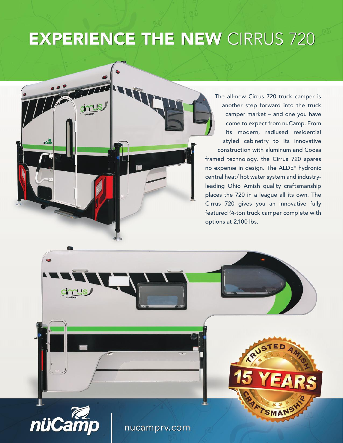# **EXPERIENCE THE NEW CIRRUS 720**

cinnus

The all-new Cirrus 720 truck camper is another step forward into the truck camper market – and one you have come to expect from nuCamp. From its modern, radiused residential styled cabinetry to its innovative construction with aluminum and Coosa framed technology, the Cirrus 720 spares no expense in design. The ALDE® hydronic central heat/ hot water system and industryleading Ohio Amish quality craftsmanship places the 720 in a league all its own. The Cirrus 720 gives you an innovative fully featured ¾-ton truck camper complete with options at 2,100 lbs.